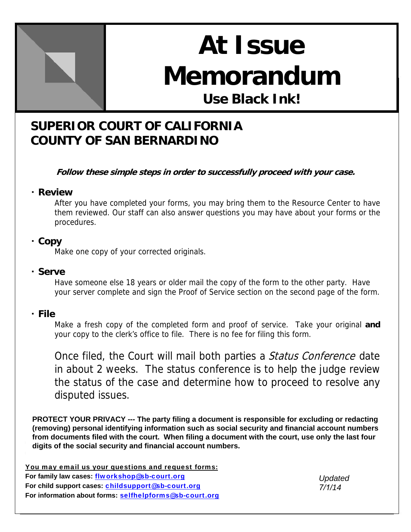

# **At Issue Memorandum Use Black Ink!**

## **SUPERIOR COURT OF CALIFORNIA COUNTY OF SAN BERNARDINO**

**Follow these simple steps in order to successfully proceed with your case.** 

#### ・ **Review**

After you have completed your forms, you may bring them to the Resource Center to have them reviewed. Our staff can also answer questions you may have about your forms or the procedures.

#### ・ **Copy**

Make one copy of your corrected originals.

#### ・ **Serve**

Have someone else 18 years or older mail the copy of the form to the other party. Have your server complete and sign the Proof of Service section on the second page of the form.

#### ・ **File**

Make a fresh copy of the completed form and proof of service. Take your original **and**  your copy to the clerk's office to file. There is no fee for filing this form.

Once filed, the Court will mail both parties a *Status Conference* date in about 2 weeks. The status conference is to help the judge review the status of the case and determine how to proceed to resolve any disputed issues.

**PROTECT YOUR PRIVACY --- The party filing a document is responsible for excluding or redacting (removing) personal identifying information such as social security and financial account numbers from documents filed with the court. When filing a document with the court, use only the last four digits of the social security and financial account numbers.**

You may email us your questions and request forms: **For family law cases:** flworkshop@sb-court.org **For child support cases:** childsupport@sb-court.org For information about forms: selfhelpforms@sb-court.org

*Updated 7/1/14*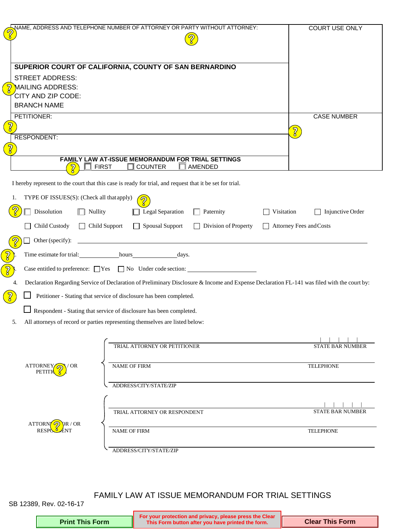|               |                                           | NAME, ADDRESS AND TELEPHONE NUMBER OF ATTORNEY OR PARTY WITHOUT ATTORNEY:                                                                   | <b>COURT USE ONLY</b>          |
|---------------|-------------------------------------------|---------------------------------------------------------------------------------------------------------------------------------------------|--------------------------------|
|               |                                           |                                                                                                                                             |                                |
|               |                                           |                                                                                                                                             |                                |
|               |                                           | SUPERIOR COURT OF CALIFORNIA, COUNTY OF SAN BERNARDINO                                                                                      |                                |
|               | <b>STREET ADDRESS:</b>                    |                                                                                                                                             |                                |
| $\frac{1}{8}$ | MAILING ADDRESS:                          |                                                                                                                                             |                                |
|               | CITY AND ZIP CODE:                        |                                                                                                                                             |                                |
|               | <b>BRANCH NAME</b>                        |                                                                                                                                             |                                |
| ႗ၟ            | PETITIONER:                               |                                                                                                                                             | <b>CASE NUMBER</b>             |
|               | <b>RESPONDENT:</b>                        |                                                                                                                                             | $\sqrt{2}$                     |
| ႗ၟ            |                                           |                                                                                                                                             |                                |
|               |                                           | FAMILY LAW AT-ISSUE MEMORANDUM FOR TRIAL SETTINGS                                                                                           |                                |
|               | $\overline{\mathbb{Z}}$                   | $\Box$ COUNTER<br>$\Box$<br>$\sqsupset$ first<br>AMENDED                                                                                    |                                |
|               |                                           | I hereby represent to the court that this case is ready for trial, and request that it be set for trial.                                    |                                |
| 1.            | TYPE OF ISSUES(S): (Check all that apply) | $\partial$                                                                                                                                  |                                |
|               | Dissolution<br>$\Box$ Nullity             | Legal Separation<br>$\Box$ Paternity                                                                                                        | Visitation<br>Injunctive Order |
|               | Child Custody                             | □ Child Support<br>Spousal Support<br>$\Box$ Division of Property                                                                           | Attorney Fees and Costs        |
|               | Other (specify):                          |                                                                                                                                             |                                |
| $\frac{2}{3}$ |                                           | Time estimate for trial: hours hours days.                                                                                                  |                                |
| $\widehat{B}$ |                                           | Case entitled to preference: $\Box$ Yes $\Box$ No Under code section:                                                                       |                                |
| 4.            |                                           | Declaration Regarding Service of Declaration of Preliminary Disclosure & Income and Expense Declaration FL-141 was filed with the court by: |                                |
|               |                                           | Petitioner - Stating that service of disclosure has been completed.                                                                         |                                |
|               |                                           | Respondent - Stating that service of disclosure has been completed.                                                                         |                                |
| 5.            |                                           | All attorneys of record or parties representing themselves are listed below:                                                                |                                |
|               |                                           |                                                                                                                                             |                                |
|               |                                           | TRIAL ATTORNEY OR PETITIONER                                                                                                                | <b>STATE BAR NUMBER</b>        |
|               |                                           |                                                                                                                                             |                                |
|               | ATTORNEY<br><b>OR</b><br>PETITI           | <b>NAME OF FIRM</b>                                                                                                                         | <b>TELEPHONE</b>               |
|               |                                           |                                                                                                                                             |                                |
|               |                                           | ADDRESS/CITY/STATE/ZIP                                                                                                                      |                                |
|               |                                           |                                                                                                                                             |                                |
|               |                                           | TRIAL ATTORNEY OR RESPONDENT                                                                                                                | <b>STATE BAR NUMBER</b>        |
|               | R / OR<br>ATTORN<br><b>RESPO</b>          | <b>NAME OF FIRM</b>                                                                                                                         | <b>TELEPHONE</b>               |
|               |                                           |                                                                                                                                             |                                |
|               |                                           | ADDRESS/CITY/STATE/ZIP                                                                                                                      |                                |

#### FAMILY LAW AT ISSUE MEMORANDUM FOR TRIAL SETTINGS

SB 12389, Rev. 02-16-17

|                        | For your protection and privacy, please press the Clear<br>This Form button after you have printed the form. |                        |
|------------------------|--------------------------------------------------------------------------------------------------------------|------------------------|
| <b>Print This Form</b> |                                                                                                              | <b>Clear This Form</b> |
|                        |                                                                                                              |                        |